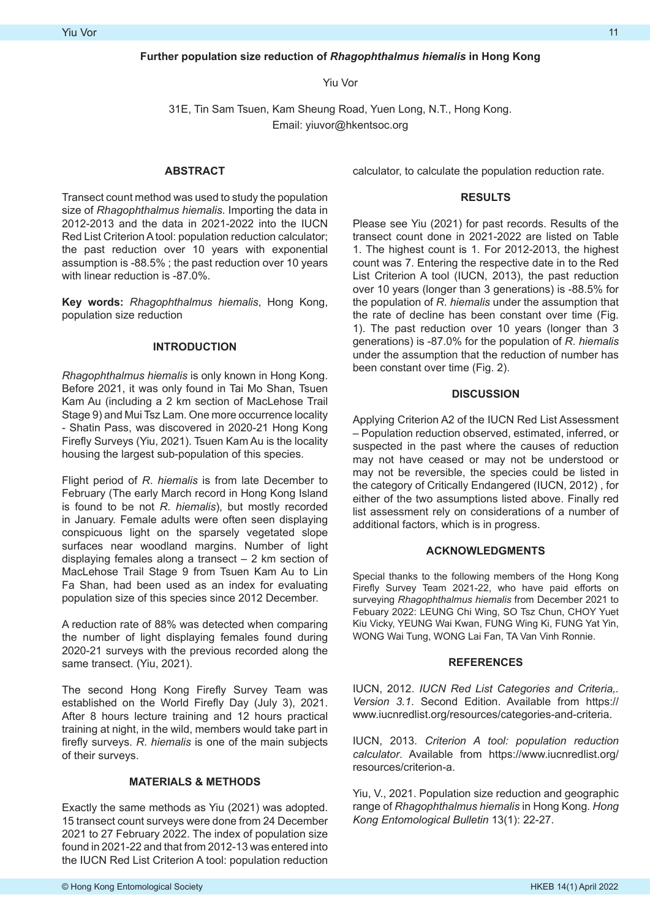Yiu Vor

31E, Tin Sam Tsuen, Kam Sheung Road, Yuen Long, N.T., Hong Kong. Email: yiuvor@hkentsoc.org

### **ABSTRACT**

Transect count method was used to study the population size of *Rhagophthalmus hiemalis*. Importing the data in 2012-2013 and the data in 2021-2022 into the IUCN Red List Criterion A tool: population reduction calculator; the past reduction over 10 years with exponential assumption is -88.5% ; the past reduction over 10 years with linear reduction is -87.0%.

**Key words:** *Rhagophthalmus hiemalis*, Hong Kong, population size reduction

# **INTRODUCTION**

*Rhagophthalmus hiemalis* is only known in Hong Kong. Before 2021, it was only found in Tai Mo Shan, Tsuen Kam Au (including a 2 km section of MacLehose Trail Stage 9) and Mui Tsz Lam. One more occurrence locality - Shatin Pass, was discovered in 2020-21 Hong Kong Firefly Surveys (Yiu, 2021). Tsuen Kam Au is the locality housing the largest sub-population of this species.

Flight period of *R*. *hiemalis* is from late December to February (The early March record in Hong Kong Island is found to be not *R*. *hiemalis*), but mostly recorded in January. Female adults were often seen displaying conspicuous light on the sparsely vegetated slope surfaces near woodland margins. Number of light displaying females along a transect – 2 km section of MacLehose Trail Stage 9 from Tsuen Kam Au to Lin Fa Shan, had been used as an index for evaluating population size of this species since 2012 December.

A reduction rate of 88% was detected when comparing the number of light displaying females found during 2020-21 surveys with the previous recorded along the same transect. (Yiu, 2021).

The second Hong Kong Firefly Survey Team was established on the World Firefly Day (July 3), 2021. After 8 hours lecture training and 12 hours practical training at night, in the wild, members would take part in firefly surveys. *R*. *hiemalis* is one of the main subjects of their surveys.

# **MATERIALS & METHODS**

Exactly the same methods as Yiu (2021) was adopted. 15 transect count surveys were done from 24 December 2021 to 27 February 2022. The index of population size found in 2021-22 and that from 2012-13 was entered into the IUCN Red List Criterion A tool: population reduction

### **RESULTS**

Please see Yiu (2021) for past records. Results of the transect count done in 2021-2022 are listed on Table 1. The highest count is 1. For 2012-2013, the highest count was 7. Entering the respective date in to the Red List Criterion A tool (IUCN, 2013), the past reduction over 10 years (longer than 3 generations) is -88.5% for the population of *R*. *hiemalis* under the assumption that the rate of decline has been constant over time (Fig. 1). The past reduction over 10 years (longer than 3 generations) is -87.0% for the population of *R*. *hiemalis* under the assumption that the reduction of number has been constant over time (Fig. 2).

#### **DISCUSSION**

Applying Criterion A2 of the IUCN Red List Assessment – Population reduction observed, estimated, inferred, or suspected in the past where the causes of reduction may not have ceased or may not be understood or may not be reversible, the species could be listed in the category of Critically Endangered (IUCN, 2012) , for either of the two assumptions listed above. Finally red list assessment rely on considerations of a number of additional factors, which is in progress.

# **ACKNOWLEDGMENTS**

Special thanks to the following members of the Hong Kong Firefly Survey Team 2021-22, who have paid efforts on surveying *Rhagophthalmus hiemalis* from December 2021 to Febuary 2022: LEUNG Chi Wing, SO Tsz Chun, CHOY Yuet Kiu Vicky, YEUNG Wai Kwan, FUNG Wing Ki, FUNG Yat Yin, WONG Wai Tung, WONG Lai Fan, TA Van Vinh Ronnie.

#### **REFERENCES**

IUCN, 2012. *IUCN Red List Categories and Criteria,. Version 3.1*. Second Edition. Available from https:// www.iucnredlist.org/resources/categories-and-criteria.

IUCN, 2013. *Criterion A tool: population reduction calculator*. Available from https://www.iucnredlist.org/ resources/criterion-a.

Yiu, V., 2021. Population size reduction and geographic range of *Rhagophthalmus hiemalis* in Hong Kong. *Hong Kong Entomological Bulletin* 13(1): 22-27.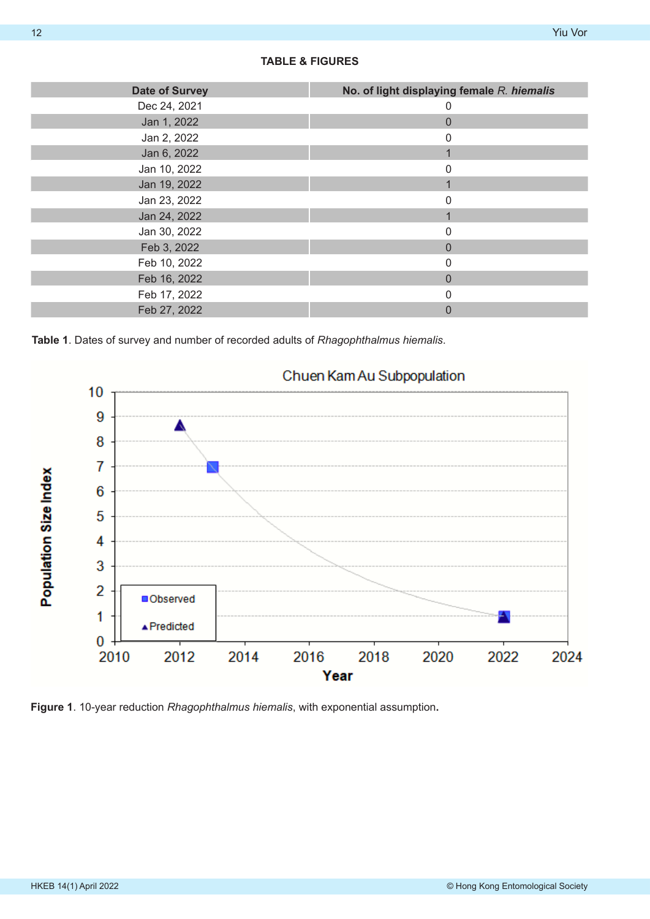| <b>Date of Survey</b> | No. of light displaying female R. hiemalis |
|-----------------------|--------------------------------------------|
| Dec 24, 2021          | 0                                          |
| Jan 1, 2022           | $\Omega$                                   |
| Jan 2, 2022           | O                                          |
| Jan 6, 2022           |                                            |
| Jan 10, 2022          | 0                                          |
| Jan 19, 2022          |                                            |
| Jan 23, 2022          | ი                                          |
| Jan 24, 2022          |                                            |
| Jan 30, 2022          | 0                                          |
| Feb 3, 2022           | 0                                          |
| Feb 10, 2022          | 0                                          |
| Feb 16, 2022          | $\Omega$                                   |
| Feb 17, 2022          | $\mathbf{0}$                               |
| Feb 27, 2022          | 0                                          |
|                       |                                            |

**TABLE & FIGURES**

**Table 1**. Dates of survey and number of recorded adults of *Rhagophthalmus hiemalis*.



**Figure 1**. 10-year reduction *Rhagophthalmus hiemalis*, with exponential assumption**.**